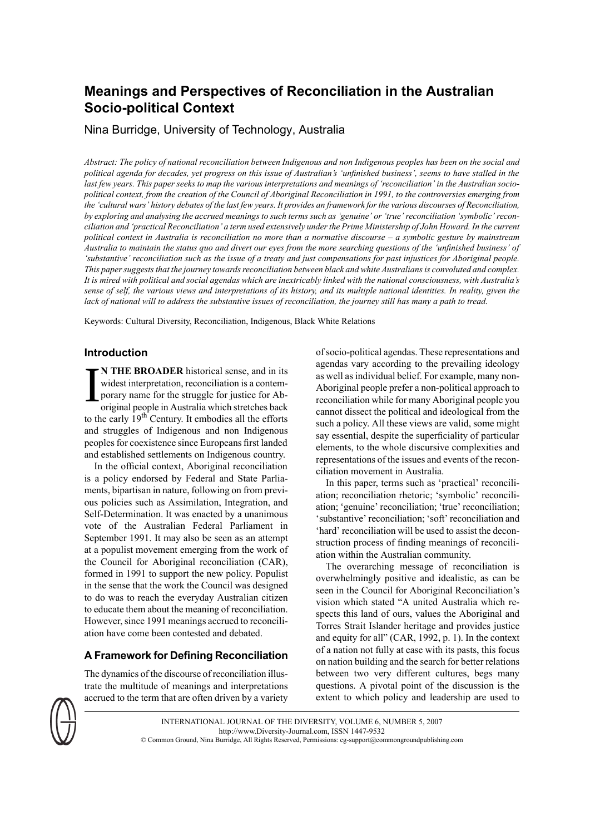# **Meanings and Perspectives of Reconciliation in the Australian Socio-political Context**

Nina Burridge, University of Technology, Australia

Abstract: The policy of national reconciliation between Indigenous and non Indigenous peoples has been on the social and political agenda for decades, yet progress on this issue of Australian's 'unfinished business', seems to have stalled in the last few years. This paper seeks to map the various interpretations and meanings of 'reconciliation' in the Australian sociopolitical context, from the creation of the Council of Aboriginal Reconciliation in 1991, to the controversies emerging from the 'cultural wars' history debates of the last few years. It provides an framework for the various discourses of Reconciliation, by exploring and analysing the accrued meanings to such terms such as 'genuine' or 'true' reconciliation 'symbolic' reconciliation and 'practical Reconciliation' a term used extensively under the Prime Ministership of John Howard. In the current political context in Australia is reconciliation no more than a normative discourse – a symbolic gesture by mainstream Australia to maintain the status auo and divert our eves from the more searching auestions of the 'unfinished business' of 'substantive' reconciliation such as the issue of a treaty and just compensations for past injustices for Aboriginal people. *This papersuggeststhat the journey towardsreconciliation between black and white Australiansis convoluted and complex.* It is mired with political and social agendas which are inextricably linked with the national consciousness, with Australia's sense of self, the various views and interpretations of its history, and its multiple national identities. In reality, given the lack of national will to address the substantive issues of reconciliation, the journey still has many a path to tread.

Keywords: Cultural Diversity, Reconciliation, Indigenous, Black White Relations

## **Introduction**

I **N THE BROADER** historical sense, and in its widest interpretation, reconciliation is a contemporary name for the struggle for justice for Aboriginal people in Australia which stretches back to the early 19<sup>th</sup> Century. It embodies all the efforts and struggles of Indigenous and non Indigenous peoples for coexistence since Europeans first landed and established settlements on Indigenous country.

In the official context, Aboriginal reconciliation is a policy endorsed by Federal and State Parliaments, bipartisan in nature, following on from previous policies such as Assimilation, Integration, and Self-Determination. It was enacted by a unanimous vote of the Australian Federal Parliament in September 1991. It may also be seen as an attempt at a populist movement emerging from the work of the Council for Aboriginal reconciliation (CAR), formed in 1991 to support the new policy. Populist in the sense that the work the Council was designed to do was to reach the everyday Australian citizen to educate them about the meaning of reconciliation. However, since 1991 meanings accrued to reconciliation have come been contested and debated.

# **A Framework for Defining Reconciliation**

The dynamics of the discourse of reconciliation illustrate the multitude of meanings and interpretations accrued to the term that are often driven by a variety of socio-political agendas. These representations and agendas vary according to the prevailing ideology as well as individual belief. For example, many non-Aboriginal people prefer a non-political approach to reconciliation while for many Aboriginal people you cannot dissect the political and ideological from the such a policy. All these views are valid, some might say essential, despite the superficiality of particular elements, to the whole discursive complexities and representations of the issues and events of the reconciliation movement in Australia.

In this paper, terms such as 'practical' reconciliation; reconciliation rhetoric; 'symbolic' reconciliation; 'genuine' reconciliation; 'true' reconciliation; 'substantive' reconciliation; 'soft' reconciliation and 'hard' reconciliation will be used to assist the deconstruction process of finding meanings of reconciliation within the Australian community.

The overarching message of reconciliation is overwhelmingly positive and idealistic, as can be seen in the Council for Aboriginal Reconciliation's vision which stated "A united Australia which respects this land of ours, values the Aboriginal and Torres Strait Islander heritage and provides justice and equity for all" (CAR, 1992, p. 1). In the context of a nation not fully at ease with its pasts, this focus on nation building and the search for better relations between two very different cultures, begs many questions. A pivotal point of the discussion is the extent to which policy and leadership are used to



INTERNATIONAL JOURNAL OF THE DIVERSITY, VOLUME 6, NUMBER 5, 2007 http://www.Diversity-Journal.com, ISSN 1447-9532 © Common Ground, Nina Burridge, All Rights Reserved, Permissions: cg-support@commongroundpublishing.com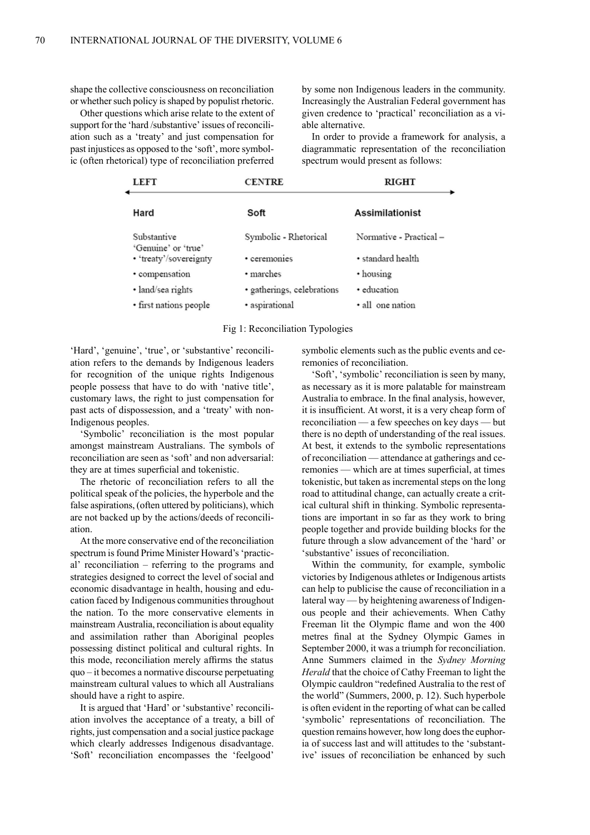shape the collective consciousness on reconciliation or whether such policy is shaped by populist rhetoric.

Other questions which arise relate to the extent of support for the 'hard /substantive' issues of reconciliation such as a 'treaty' and just compensation for past injustices as opposed to the 'soft', more symbolic (often rhetorical) type of reconciliation preferred

by some non Indigenous leaders in the community. Increasingly the Australian Federal government has given credence to 'practical' reconciliation as a viable alternative.

In order to provide a framework for analysis, a diagrammatic representation of the reconciliation spectrum would present as follows:

| <b>LEFT</b>                                   | <b>CENTRE</b>              | <b>RIGHT</b>            |
|-----------------------------------------------|----------------------------|-------------------------|
| Hard                                          | Soft                       | <b>Assimilationist</b>  |
| Substantive                                   | Symbolic - Rhetorical      | Normative - Practical - |
| 'Genuine' or 'true'<br>• 'treaty'/sovereignty | • ceremonies               | • standard health       |
| · compensation                                | • marches                  | • housing               |
| · land/sea rights                             | · gatherings, celebrations | · education             |
| · first nations people                        | · aspirational             | · all one nation        |

#### Fig 1: Reconciliation Typologies

'Hard', 'genuine', 'true', or 'substantive' reconciliation refers to the demands by Indigenous leaders for recognition of the unique rights Indigenous people possess that have to do with 'native title', customary laws, the right to just compensation for past acts of dispossession, and a 'treaty' with non-Indigenous peoples.

'Symbolic' reconciliation is the most popular amongst mainstream Australians. The symbols of reconciliation are seen as 'soft' and non adversarial: they are at times superficial and tokenistic.

The rhetoric of reconciliation refers to all the political speak of the policies, the hyperbole and the false aspirations, (often uttered by politicians), which are not backed up by the actions/deeds of reconciliation.

At the more conservative end of the reconciliation spectrum is found Prime Minister Howard's 'practical' reconciliation – referring to the programs and strategies designed to correct the level of social and economic disadvantage in health, housing and education faced by Indigenous communities throughout the nation. To the more conservative elements in mainstream Australia, reconciliation is about equality and assimilation rather than Aboriginal peoples possessing distinct political and cultural rights. In this mode, reconciliation merely affirms the status quo – it becomes a normative discourse perpetuating mainstream cultural values to which all Australians should have a right to aspire.

It is argued that 'Hard' or 'substantive' reconciliation involves the acceptance of a treaty, a bill of rights, just compensation and a social justice package which clearly addresses Indigenous disadvantage. 'Soft' reconciliation encompasses the 'feelgood'

symbolic elements such as the public events and ceremonies of reconciliation.

'Soft', 'symbolic' reconciliation is seen by many, as necessary as it is more palatable for mainstream Australia to embrace. In the final analysis, however, it is insufficient. At worst, it is a very cheap form of reconciliation — a few speeches on key days — but there is no depth of understanding of the real issues. At best, it extends to the symbolic representations of reconciliation — attendance at gatherings and ceremonies — which are at times superficial, at times tokenistic, but taken as incremental steps on the long road to attitudinal change, can actually create a critical cultural shift in thinking. Symbolic representations are important in so far as they work to bring people together and provide building blocks for the future through a slow advancement of the 'hard' or 'substantive' issues of reconciliation.

Within the community, for example, symbolic victories by Indigenous athletes or Indigenous artists can help to publicise the cause of reconciliation in a lateral way — by heightening awareness of Indigenous people and their achievements. When Cathy Freeman lit the Olympic flame and won the 400 metres final at the Sydney Olympic Games in September 2000, it was a triumph for reconciliation. Anne Summers claimed in the *Sydney Morning Herald* that the choice of Cathy Freeman to light the Olympic cauldron "redefined Australia to the rest of the world" (Summers, 2000, p. 12). Such hyperbole is often evident in the reporting of what can be called 'symbolic' representations of reconciliation. The question remains however, how long doesthe euphoria of success last and will attitudes to the 'substantive' issues of reconciliation be enhanced by such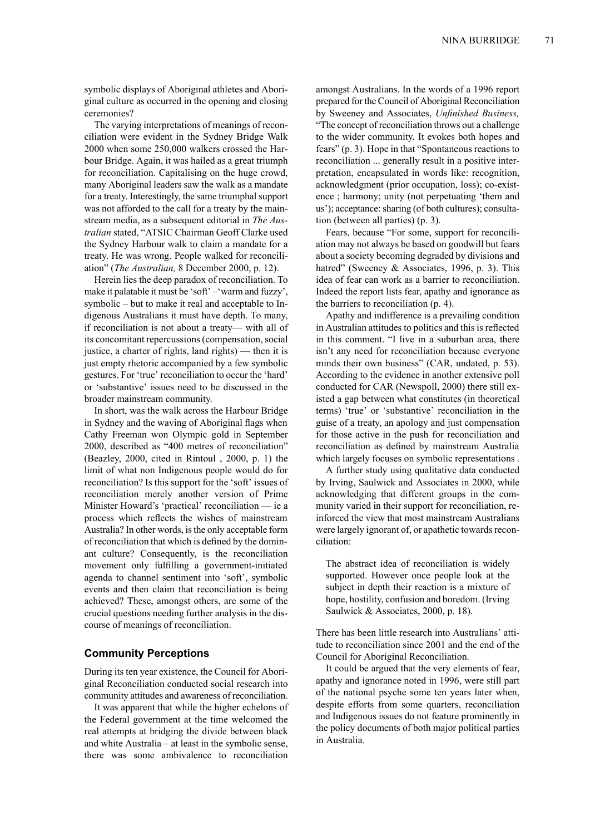symbolic displays of Aboriginal athletes and Aboriginal culture as occurred in the opening and closing ceremonies?

The varying interpretations of meanings of reconciliation were evident in the Sydney Bridge Walk 2000 when some 250,000 walkers crossed the Harbour Bridge. Again, it was hailed as a great triumph for reconciliation. Capitalising on the huge crowd, many Aboriginal leaders saw the walk as a mandate for a treaty. Interestingly, the same triumphal support was not afforded to the call for a treaty by the mainstream media, as a subsequent editorial in *The Australian* stated, "ATSIC Chairman Geoff Clarke used the Sydney Harbour walk to claim a mandate for a treaty. He was wrong. People walked for reconciliation" (*The Australian,* 8 December 2000, p. 12).

Herein lies the deep paradox of reconciliation. To make it palatable it must be 'soft' –'warm and fuzzy', symbolic – but to make it real and acceptable to Indigenous Australians it must have depth. To many, if reconciliation is not about a treaty— with all of its concomitant repercussions (compensation, social justice, a charter of rights, land rights) — then it is just empty rhetoric accompanied by a few symbolic gestures.For 'true' reconciliation to occur the 'hard' or 'substantive' issues need to be discussed in the broader mainstream community.

In short, was the walk across the Harbour Bridge in Sydney and the waving of Aboriginal flags when Cathy Freeman won Olympic gold in September 2000, described as "400 metres of reconciliation" (Beazley, 2000, cited in Rintoul , 2000, p. 1) the limit of what non Indigenous people would do for reconciliation? Is this support for the 'soft' issues of reconciliation merely another version of Prime Minister Howard's 'practical' reconciliation — ie a process which reflects the wishes of mainstream Australia? In other words, is the only acceptable form of reconciliation that which is defined by the dominant culture? Consequently, is the reconciliation movement only fulfilling a government-initiated agenda to channel sentiment into 'soft', symbolic events and then claim that reconciliation is being achieved? These, amongst others, are some of the crucial questions needing further analysis in the discourse of meanings of reconciliation.

## **Community Perceptions**

During its ten year existence, the Council for Aboriginal Reconciliation conducted social research into community attitudes and awareness of reconciliation.

It was apparent that while the higher echelons of the Federal government at the time welcomed the real attempts at bridging the divide between black and white Australia – at least in the symbolic sense, there was some ambivalence to reconciliation

amongst Australians. In the words of a 1996 report prepared for the Council of Aboriginal Reconciliation by Sweeney and Associates, *Unfinished Business,* "The concept of reconciliation throws out a challenge to the wider community. It evokes both hopes and fears" (p. 3). Hope in that "Spontaneous reactions to reconciliation ... generally result in a positive interpretation, encapsulated in words like: recognition, acknowledgment (prior occupation, loss); co-existence ; harmony; unity (not perpetuating 'them and us'); acceptance: sharing (of both cultures); consultation (between all parties) (p. 3).

Fears, because "For some, support for reconciliation may not always be based on goodwill but fears about a society becoming degraded by divisions and hatred" (Sweeney & Associates, 1996, p. 3). This idea of fear can work as a barrier to reconciliation. Indeed the report lists fear, apathy and ignorance as the barriers to reconciliation (p. 4).

Apathy and indifference is a prevailing condition in Australian attitudes to politics and this is reflected in this comment. "I live in a suburban area, there isn't any need for reconciliation because everyone minds their own business" (CAR, undated, p. 53). According to the evidence in another extensive poll conducted for CAR (Newspoll, 2000) there still existed a gap between what constitutes (in theoretical terms) 'true' or 'substantive' reconciliation in the guise of a treaty, an apology and just compensation for those active in the push for reconciliation and reconciliation as defined by mainstream Australia which largely focuses on symbolic representations .

A further study using qualitative data conducted by Irving, Saulwick and Associates in 2000, while acknowledging that different groups in the community varied in their support for reconciliation, reinforced the view that most mainstream Australians were largely ignorant of, or apathetic towards reconciliation:

The abstract idea of reconciliation is widely supported. However once people look at the subject in depth their reaction is a mixture of hope, hostility, confusion and boredom. (Irving Saulwick & Associates, 2000, p. 18).

There has been little research into Australians' attitude to reconciliation since 2001 and the end of the Council for Aboriginal Reconciliation.

It could be argued that the very elements of fear, apathy and ignorance noted in 1996, were still part of the national psyche some ten years later when, despite efforts from some quarters, reconciliation and Indigenous issues do not feature prominently in the policy documents of both major political parties in Australia.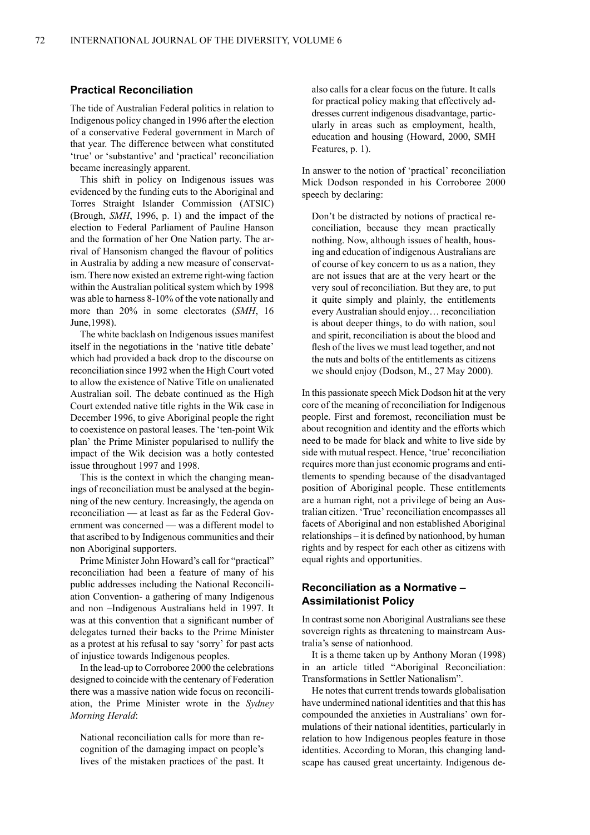### **Practical Reconciliation**

The tide of Australian Federal politics in relation to Indigenous policy changed in 1996 after the election of a conservative Federal government in March of that year. The difference between what constituted 'true' or 'substantive' and 'practical' reconciliation became increasingly apparent.

This shift in policy on Indigenous issues was evidenced by the funding cuts to the Aboriginal and Torres Straight Islander Commission (ATSIC) (Brough, *SMH*, 1996, p. 1) and the impact of the election to Federal Parliament of Pauline Hanson and the formation of her One Nation party. The arrival of Hansonism changed the flavour of politics in Australia by adding a new measure of conservatism. There now existed an extreme right-wing faction within the Australian political system which by 1998 was able to harness 8-10% of the vote nationally and more than 20% in some electorates (*SMH*, 16 June,1998).

The white backlash on Indigenous issues manifest itself in the negotiations in the 'native title debate' which had provided a back drop to the discourse on reconciliation since 1992 when the High Court voted to allow the existence of Native Title on unalienated Australian soil. The debate continued as the High Court extended native title rights in the Wik case in December 1996, to give Aboriginal people the right to coexistence on pastoral leases. The 'ten-point Wik plan' the Prime Minister popularised to nullify the impact of the Wik decision was a hotly contested issue throughout 1997 and 1998.

This is the context in which the changing meanings of reconciliation must be analysed at the beginning of the new century. Increasingly, the agenda on reconciliation — at least as far as the Federal Government was concerned — was a different model to that ascribed to by Indigenous communities and their non Aboriginal supporters.

Prime Minister John Howard's call for "practical" reconciliation had been a feature of many of his public addresses including the National Reconciliation Convention- a gathering of many Indigenous and non –Indigenous Australians held in 1997. It was at this convention that a significant number of delegates turned their backs to the Prime Minister as a protest at his refusal to say 'sorry' for past acts of injustice towards Indigenous peoples.

In the lead-up to Corroboree 2000 the celebrations designed to coincide with the centenary of Federation there was a massive nation wide focus on reconciliation, the Prime Minister wrote in the *Sydney Morning Herald*:

National reconciliation calls for more than recognition of the damaging impact on people's lives of the mistaken practices of the past. It also calls for a clear focus on the future. It calls for practical policy making that effectively addresses current indigenous disadvantage, particularly in areas such as employment, health, education and housing (Howard, 2000, SMH Features, p. 1).

In answer to the notion of 'practical' reconciliation Mick Dodson responded in his Corroboree 2000 speech by declaring:

Don't be distracted by notions of practical reconciliation, because they mean practically nothing. Now, although issues of health, housing and education of indigenous Australians are of course of key concern to us as a nation, they are not issues that are at the very heart or the very soul of reconciliation. But they are, to put it quite simply and plainly, the entitlements every Australian should enjoy… reconciliation is about deeper things, to do with nation, soul and spirit, reconciliation is about the blood and flesh of the lives we must lead together, and not the nuts and bolts of the entitlements as citizens we should enjoy (Dodson, M., 27 May 2000).

In this passionate speech Mick Dodson hit at the very core of the meaning of reconciliation for Indigenous people. First and foremost, reconciliation must be about recognition and identity and the efforts which need to be made for black and white to live side by side with mutual respect. Hence, 'true' reconciliation requires more than just economic programs and entitlements to spending because of the disadvantaged position of Aboriginal people. These entitlements are a human right, not a privilege of being an Australian citizen. 'True' reconciliation encompasses all facets of Aboriginal and non established Aboriginal relationships – it is defined by nationhood, by human rights and by respect for each other as citizens with equal rights and opportunities.

## **Reconciliation as a Normative – Assimilationist Policy**

In contrast some non Aboriginal Australians see these sovereign rights as threatening to mainstream Australia's sense of nationhood.

It is a theme taken up by Anthony Moran (1998) in an article titled "Aboriginal Reconciliation: Transformations in Settler Nationalism".

He notes that current trends towards globalisation have undermined national identities and that this has compounded the anxieties in Australians' own formulations of their national identities, particularly in relation to how Indigenous peoples feature in those identities. According to Moran, this changing landscape has caused great uncertainty. Indigenous de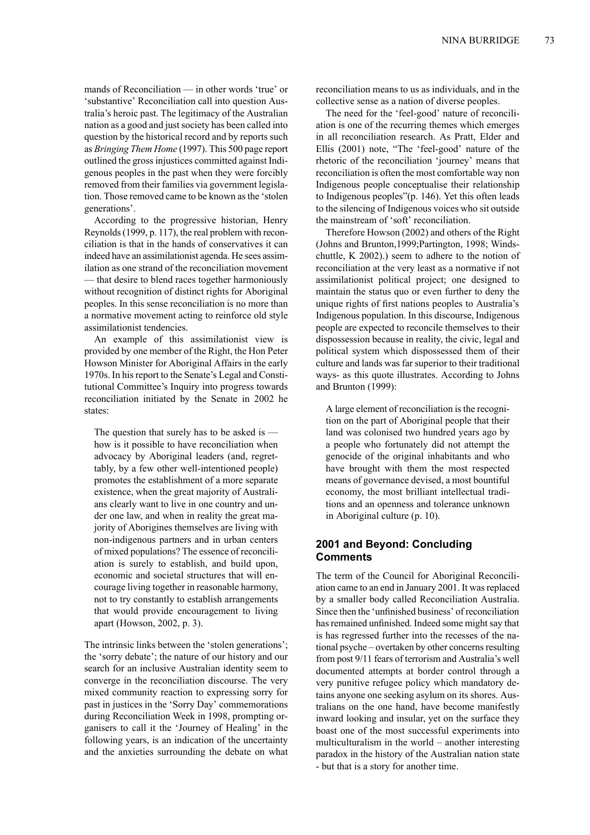mands of Reconciliation — in other words 'true' or 'substantive' Reconciliation call into question Australia's heroic past. The legitimacy of the Australian nation as a good and just society has been called into question by the historical record and by reports such as *BringingThem Home* (1997). This 500 page report outlined the grossinjustices committed against Indigenous peoples in the past when they were forcibly removed from their families via government legislation. Those removed came to be known asthe 'stolen generations'.

According to the progressive historian, Henry Reynolds(1999, p. 117), the real problem with reconciliation is that in the hands of conservatives it can indeed have an assimilationist agenda. He sees assimilation as one strand of the reconciliation movement — that desire to blend races together harmoniously without recognition of distinct rights for Aboriginal peoples. In this sense reconciliation is no more than a normative movement acting to reinforce old style assimilationist tendencies.

An example of this assimilationist view is provided by one member of the Right, the Hon Peter Howson Minister for Aboriginal Affairs in the early 1970s. In hisreport to theSenate's Legal and Constitutional Committee's Inquiry into progress towards reconciliation initiated by the Senate in 2002 he states:

The question that surely has to be asked is how is it possible to have reconciliation when advocacy by Aboriginal leaders (and, regrettably, by a few other well-intentioned people) promotes the establishment of a more separate existence, when the great majority of Australians clearly want to live in one country and under one law, and when in reality the great majority of Aborigines themselves are living with non-indigenous partners and in urban centers of mixed populations? The essence of reconciliation is surely to establish, and build upon, economic and societal structures that will encourage living together in reasonable harmony, not to try constantly to establish arrangements that would provide encouragement to living apart (Howson, 2002, p. 3).

The intrinsic links between the 'stolen generations'; the 'sorry debate'; the nature of our history and our search for an inclusive Australian identity seem to converge in the reconciliation discourse. The very mixed community reaction to expressing sorry for past in justices in the 'Sorry Day' commemorations during Reconciliation Week in 1998, prompting organisers to call it the 'Journey of Healing' in the following years, is an indication of the uncertainty and the anxieties surrounding the debate on what reconciliation means to us as individuals, and in the collective sense as a nation of diverse peoples.

The need for the 'feel-good' nature of reconciliation is one of the recurring themes which emerges in all reconciliation research. As Pratt, Elder and Ellis (2001) note, "The 'feel-good' nature of the rhetoric of the reconciliation 'journey' means that reconciliation is often the most comfortable way non Indigenous people conceptualise their relationship to Indigenous peoples"(p. 146). Yet this often leads to the silencing of Indigenous voices who sit outside the mainstream of 'soft' reconciliation.

Therefore Howson (2002) and others of the Right (Johns and Brunton,1999;Partington, 1998; Windschuttle, K 2002).) seem to adhere to the notion of reconciliation at the very least as a normative if not assimilationist political project; one designed to maintain the status quo or even further to deny the unique rights of first nations peoples to Australia's Indigenous population. In this discourse, Indigenous people are expected to reconcile themselves to their dispossession because in reality, the civic, legal and political system which dispossessed them of their culture and lands was far superior to their traditional ways- as this quote illustrates. According to Johns and Brunton (1999):

A large element of reconciliation is the recognition on the part of Aboriginal people that their land was colonised two hundred years ago by a people who fortunately did not attempt the genocide of the original inhabitants and who have brought with them the most respected means of governance devised, a most bountiful economy, the most brilliant intellectual traditions and an openness and tolerance unknown in Aboriginal culture (p. 10).

# **2001 and Beyond: Concluding Comments**

The term of the Council for Aboriginal Reconciliation came to an end in January 2001. It wasreplaced by a smaller body called Reconciliation Australia. Since then the 'unfinished business' of reconciliation has remained unfinished. Indeed some might say that is has regressed further into the recesses of the national psyche – overtaken by other concerns resulting from post 9/11 fears of terrorism and Australia's well documented attempts at border control through a very punitive refugee policy which mandatory detains anyone one seeking asylum on its shores. Australians on the one hand, have become manifestly inward looking and insular, yet on the surface they boast one of the most successful experiments into multiculturalism in the world – another interesting paradox in the history of the Australian nation state - but that is a story for another time.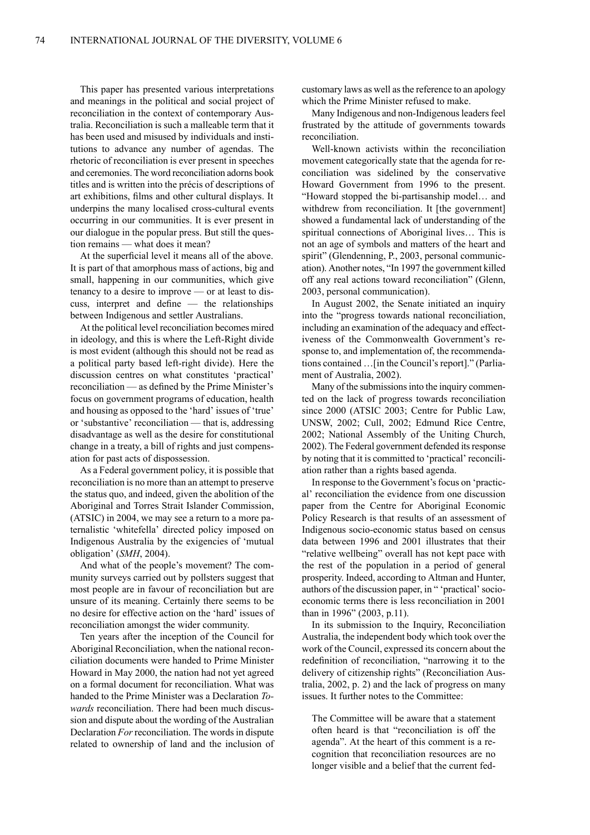This paper has presented various interpretations and meanings in the political and social project of reconciliation in the context of contemporary Australia. Reconciliation is such a malleable term that it has been used and misused by individuals and institutions to advance any number of agendas. The rhetoric of reconciliation is ever present in speeches and ceremonies. The word reconciliation adorns book titles and is written into the précis of descriptions of art exhibitions, films and other cultural displays. It underpins the many localised cross-cultural events occurring in our communities. It is ever present in our dialogue in the popular press. But still the question remains — what does it mean?

At the superficial level it means all of the above. It is part of that amorphous mass of actions, big and small, happening in our communities, which give tenancy to a desire to improve — or at least to discuss, interpret and define — the relationships between Indigenous and settler Australians.

At the political level reconciliation becomes mired in ideology, and this is where the Left-Right divide is most evident (although this should not be read as a political party based left-right divide). Here the discussion centres on what constitutes 'practical' reconciliation — as defined by the Prime Minister's focus on government programs of education, health and housing as opposed to the 'hard' issues of 'true' or 'substantive' reconciliation — that is, addressing disadvantage as well as the desire for constitutional change in a treaty, a bill of rights and just compensation for past acts of dispossession.

As aFederal government policy, it is possible that reconciliation is no more than an attempt to preserve the status quo, and indeed, given the abolition of the Aboriginal and Torres Strait Islander Commission, (ATSIC) in 2004, we may see a return to a more paternalistic 'whitefella' directed policy imposed on Indigenous Australia by the exigencies of 'mutual obligation' (*SMH*, 2004).

And what of the people's movement? The community surveys carried out by pollsters suggest that most people are in favour of reconciliation but are unsure of its meaning. Certainly there seems to be no desire for effective action on the 'hard' issues of reconciliation amongst the wider community.

Ten years after the inception of the Council for Aboriginal Reconciliation, when the national reconciliation documents were handed to Prime Minister Howard in May 2000, the nation had not yet agreed on a formal document for reconciliation. What was handed to the Prime Minister was a Declaration *Towards* reconciliation. There had been much discussion and dispute about the wording of the Australian Declaration *For* reconciliation. The words in dispute related to ownership of land and the inclusion of customary laws as well asthe reference to an apology which the Prime Minister refused to make.

Many Indigenous and non-Indigenous leaders feel frustrated by the attitude of governments towards reconciliation.

Well-known activists within the reconciliation movement categorically state that the agenda for reconciliation was sidelined by the conservative Howard Government from 1996 to the present. "Howard stopped the bi-partisanship model… and withdrew from reconciliation. It [the government] showed a fundamental lack of understanding of the spiritual connections of Aboriginal lives… This is not an age of symbols and matters of the heart and spirit" (Glendenning, P., 2003, personal communication). Another notes, "In 1997 the government killed off any real actions toward reconciliation" (Glenn, 2003, personal communication).

In August 2002, the Senate initiated an inquiry into the "progress towards national reconciliation, including an examination of the adequacy and effectiveness of the Commonwealth Government's response to, and implementation of, the recommendations contained ... [in the Council's report]." (Parliament of Australia, 2002).

Many of the submissions into the inquiry commented on the lack of progress towards reconciliation since 2000 (ATSIC 2003; Centre for Public Law, UNSW, 2002; Cull, 2002; Edmund Rice Centre, 2002; National Assembly of the Uniting Church, 2002). The Federal government defended its response by noting that it is committed to 'practical' reconciliation rather than a rights based agenda.

In response to the Government's focus on 'practical' reconciliation the evidence from one discussion paper from the Centre for Aboriginal Economic Policy Research is that results of an assessment of Indigenous socio-economic status based on census data between 1996 and 2001 illustrates that their "relative wellbeing" overall has not kept pace with the rest of the population in a period of general prosperity. Indeed, according to Altman and Hunter, authors of the discussion paper, in " 'practical' socioeconomic terms there is less reconciliation in 2001 than in 1996" (2003, p.11).

In its submission to the Inquiry, Reconciliation Australia, the independent body which took over the work of the Council, expressed its concern about the redefinition of reconciliation, "narrowing it to the delivery of citizenship rights" (Reconciliation Australia, 2002, p. 2) and the lack of progress on many issues. It further notes to the Committee:

The Committee will be aware that a statement often heard is that "reconciliation is off the agenda". At the heart of this comment is a recognition that reconciliation resources are no longer visible and a belief that the current fed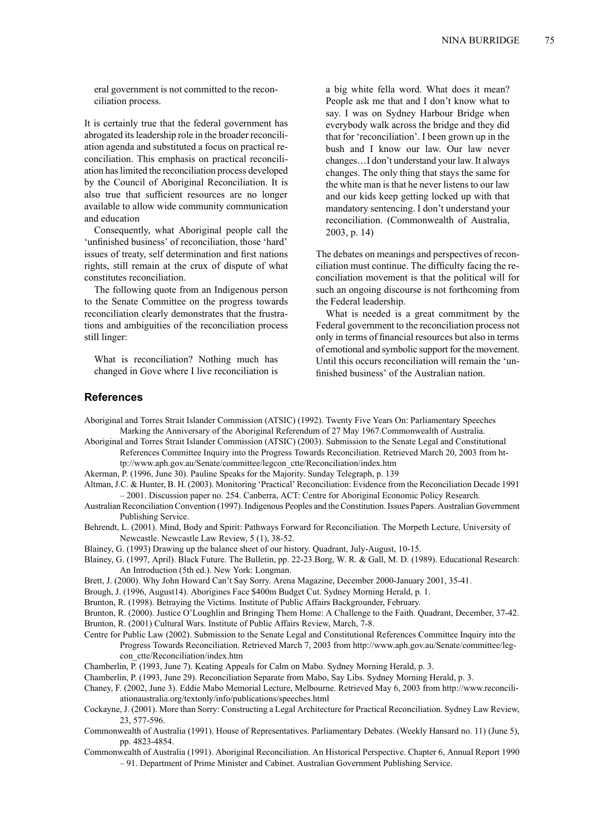eral government is not committed to the reconciliation process.

It is certainly true that the federal government has abrogated itsleadership role in the broader reconciliation agenda and substituted a focus on practical reconciliation. This emphasis on practical reconciliation haslimited the reconciliation process developed by the Council of Aboriginal Reconciliation. It is also true that sufficient resources are no longer available to allow wide community communication and education

Consequently, what Aboriginal people call the 'unfinished business' of reconciliation, those 'hard' issues of treaty, self determination and first nations rights, still remain at the crux of dispute of what constitutes reconciliation.

The following quote from an Indigenous person to the Senate Committee on the progress towards reconciliation clearly demonstrates that the frustrations and ambiguities of the reconciliation process still linger:

What is reconciliation? Nothing much has changed in Gove where I live reconciliation is a big white fella word. What does it mean? People ask me that and I don't know what to say. I was on Sydney Harbour Bridge when everybody walk across the bridge and they did that for 'reconciliation'. I been grown up in the bush and I know our law. Our law never changes…I don't understand your law. It always changes. The only thing that stays the same for the white man is that he never listens to our law and our kids keep getting locked up with that mandatory sentencing. I don't understand your reconciliation. (Commonwealth of Australia, 2003, p. 14)

The debates on meanings and perspectives of reconciliation must continue. The difficulty facing the reconciliation movement is that the political will for such an ongoing discourse is not forthcoming from the Federal leadership.

What is needed is a great commitment by the Federal government to the reconciliation process not only in terms offinancial resources but also in terms of emotional and symbolic support for the movement. Until this occurs reconciliation will remain the 'unfinished business' of the Australian nation.

#### **References**

Aboriginal and Torres Strait Islander Commission (ATSIC) (1992). Twenty Five Years On: Parliamentary Speeches Marking the Anniversary of the Aboriginal Referendum of 27 May 1967.Commonwealth of Australia.

- Aboriginal and Torres Strait Islander Commission (ATSIC) (2003). Submission to the Senate Legal and Constitutional References Committee Inquiry into the Progress Towards Reconciliation. Retrieved March 20, 2003 from http://www.aph.gov.au/Senate/committee/legcon\_ctte/Reconciliation/index.htm
- Akerman, P. (1996, June 30). Pauline Speaks for the Majority. Sunday Telegraph, p. 139
- Altman, J.C. & Hunter, B. H. (2003). Monitoring 'Practical' Reconciliation: Evidence from the Reconciliation Decade 1991 – 2001. Discussion paper no. 254. Canberra, ACT: Centre for Aboriginal Economic Policy Research.
- Australian Reconciliation Convention (1997). Indigenous Peoples and the Constitution. Issues Papers. Australian Government Publishing Service.
- Behrendt, L. (2001). Mind, Body and Spirit: Pathways Forward for Reconciliation. The Morpeth Lecture, University of Newcastle. Newcastle Law Review, 5 (1), 38-52.
- Blainey, G. (1993) Drawing up the balance sheet of our history. Quadrant, July-August, 10-15.
- Blainey, G. (1997, April). Black Future. The Bulletin, pp. 22-23.Borg, W. R. & Gall, M. D. (1989). Educational Research: An Introduction (5th ed.). New York: Longman.
- Brett, J. (2000). Why John Howard Can't Say Sorry. Arena Magazine, December 2000-January 2001, 35-41.
- Brough, J. (1996, August14). Aborigines Face \$400m Budget Cut. Sydney Morning Herald, p. 1.
- Brunton, R. (1998). Betraying the Victims. Institute of Public Affairs Backgrounder, February.
- Brunton, R. (2000). Justice O'Loughlin and Bringing Them Home: A Challenge to the Faith. Quadrant, December, 37-42. Brunton, R. (2001) Cultural Wars. Institute of Public Affairs Review, March, 7-8.
- Centre for Public Law (2002). Submission to the Senate Legal and Constitutional References Committee Inquiry into the Progress Towards Reconciliation. Retrieved March 7, 2003 from http://www.aph.gov.au/Senate/committee/legcon\_ctte/Reconciliation/index.htm
- Chamberlin, P. (1993, June 7). Keating Appeals for Calm on Mabo. Sydney Morning Herald, p. 3.
- Chamberlin, P. (1993, June 29). Reconciliation Separate from Mabo, Say Libs. Sydney Morning Herald, p. 3.
- Chaney, F. (2002, June 3). Eddie Mabo Memorial Lecture, Melbourne. Retrieved May 6, 2003 from http://www.reconciliationaustralia.org/textonly/info/publications/speeches.html
- Cockayne, J. (2001). More than Sorry: Constructing a Legal Architecture for Practical Reconciliation. Sydney Law Review, 23, 577-596.
- Commonwealth of Australia (1991). House of Representatives. Parliamentary Debates. (Weekly Hansard no. 11) (June 5), pp. 4823-4854.
- Commonwealth of Australia (1991). Aboriginal Reconciliation. An Historical Perspective. Chapter 6, Annual Report 1990 – 91. Department of Prime Minister and Cabinet. Australian Government Publishing Service.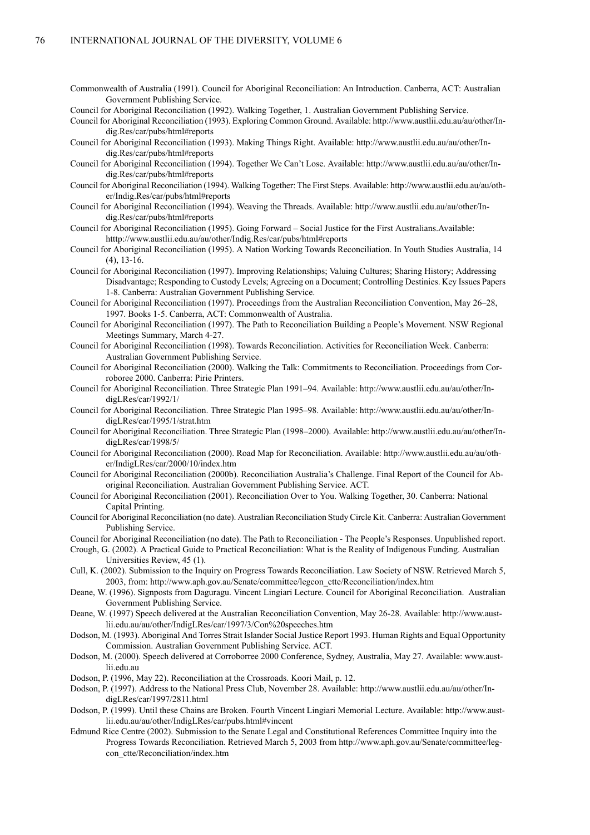- Commonwealth of Australia (1991). Council for Aboriginal Reconciliation: An Introduction. Canberra, ACT: Australian Government Publishing Service.
- Council for Aboriginal Reconciliation (1992). Walking Together, 1. Australian Government Publishing Service.

Council for Aboriginal Reconciliation (1993). Exploring Common Ground. Available: http://www.austlii.edu.au/au/other/Indig.Res/car/pubs/html#reports

- Council for Aboriginal Reconciliation (1993). Making Things Right. Available: http://www.austlii.edu.au/au/other/Indig.Res/car/pubs/html#reports
- Council for Aboriginal Reconciliation (1994). Together We Can't Lose. Available: http://www.austlii.edu.au/au/other/Indig.Res/car/pubs/html#reports
- Council for Aboriginal Reconciliation (1994). Walking Together: The First Steps. Available: http://www.austlii.edu.au/au/other/Indig.Res/car/pubs/html#reports
- Council for Aboriginal Reconciliation (1994). Weaving the Threads. Available: http://www.austlii.edu.au/au/other/Indig.Res/car/pubs/html#reports
- Council for Aboriginal Reconciliation (1995). Going Forward Social Justice for the First Australians.Available: htttp://www.austlii.edu.au/au/other/Indig.Res/car/pubs/html#reports
- Council for Aboriginal Reconciliation (1995). A Nation Working Towards Reconciliation. In Youth Studies Australia, 14 (4), 13-16.
- Council for Aboriginal Reconciliation (1997). Improving Relationships; Valuing Cultures; Sharing History; Addressing Disadvantage; Responding to Custody Levels; Agreeing on a Document; Controlling Destinies. Key Issues Papers 1-8. Canberra: Australian Government Publishing Service.
- Council for Aboriginal Reconciliation (1997). Proceedings from the Australian Reconciliation Convention, May 26–28, 1997. Books 1-5. Canberra, ACT: Commonwealth of Australia.
- Council for Aboriginal Reconciliation (1997). The Path to Reconciliation Building a People's Movement. NSW Regional Meetings Summary, March 4-27.
- Council for Aboriginal Reconciliation (1998). Towards Reconciliation. Activities for Reconciliation Week. Canberra: Australian Government Publishing Service.
- Council for Aboriginal Reconciliation (2000). Walking the Talk: Commitments to Reconciliation. Proceedings from Corroboree 2000. Canberra: Pirie Printers.
- Council for Aboriginal Reconciliation. Three Strategic Plan 1991–94. Available: http://www.austlii.edu.au/au/other/IndigLRes/car/1992/1/
- Council for Aboriginal Reconciliation. Three Strategic Plan 1995–98. Available: http://www.austlii.edu.au/au/other/IndigLRes/car/1995/1/strat.htm
- Council for Aboriginal Reconciliation. Three Strategic Plan (1998–2000). Available: http://www.austlii.edu.au/au/other/IndigLRes/car/1998/5/
- Council for Aboriginal Reconciliation (2000). Road Map for Reconciliation. Available: http://www.austlii.edu.au/au/other/IndigLRes/car/2000/10/index.htm
- Council for Aboriginal Reconciliation (2000b). Reconciliation Australia's Challenge. Final Report of the Council for Aboriginal Reconciliation. Australian Government Publishing Service. ACT.
- Council for Aboriginal Reconciliation (2001). Reconciliation Over to You. Walking Together, 30. Canberra: National Capital Printing.
- Council for Aboriginal Reconciliation (no date). Australian Reconciliation Study Circle Kit. Canberra: Australian Government Publishing Service.
- Council for Aboriginal Reconciliation (no date). The Path to Reconciliation The People's Responses. Unpublished report.
- Crough, G. (2002). A Practical Guide to Practical Reconciliation: What is the Reality of Indigenous Funding. Australian Universities Review, 45 (1).
- Cull, K. (2002). Submission to the Inquiry on Progress Towards Reconciliation. Law Society of NSW. Retrieved March 5, 2003, from: http://www.aph.gov.au/Senate/committee/legcon\_ctte/Reconciliation/index.htm
- Deane, W. (1996). Signposts from Daguragu. Vincent Lingiari Lecture. Council for Aboriginal Reconciliation. Australian Government Publishing Service.
- Deane, W. (1997) Speech delivered at the Australian Reconciliation Convention, May 26-28. Available: http://www.austlii.edu.au/au/other/IndigLRes/car/1997/3/Con%20speeches.htm
- Dodson, M. (1993). Aboriginal And Torres Strait Islander Social Justice Report 1993. Human Rights and Equal Opportunity Commission. Australian Government Publishing Service. ACT.
- Dodson, M. (2000). Speech delivered at Corroborree 2000 Conference, Sydney, Australia, May 27. Available: www.austlii.edu.au
- Dodson, P. (1996, May 22). Reconciliation at the Crossroads. Koori Mail, p. 12.
- Dodson, P. (1997). Address to the National Press Club, November 28. Available: http://www.austlii.edu.au/au/other/IndigLRes/car/1997/2811.html
- Dodson, P. (1999). Until these Chains are Broken. Fourth Vincent Lingiari Memorial Lecture. Available: http://www.austlii.edu.au/au/other/IndigLRes/car/pubs.html#vincent
- Edmund Rice Centre (2002). Submission to the Senate Legal and Constitutional References Committee Inquiry into the Progress Towards Reconciliation. Retrieved March 5, 2003 from http://www.aph.gov.au/Senate/committee/legcon\_ctte/Reconciliation/index.htm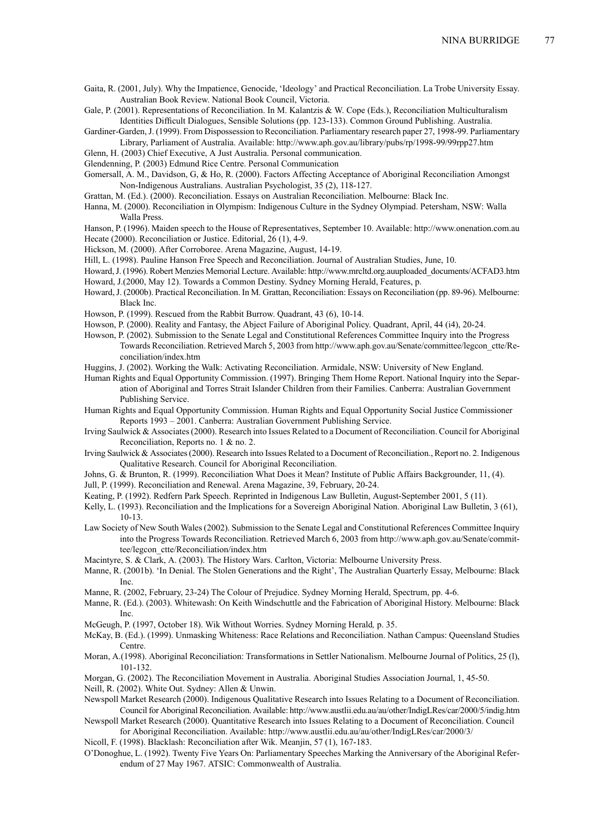- Gaita, R. (2001, July). Why the Impatience, Genocide, 'Ideology' and Practical Reconciliation. La Trobe University Essay. Australian Book Review. National Book Council, Victoria.
- Gale, P. (2001). Representations of Reconciliation. In M. Kalantzis & W. Cope (Eds.), Reconciliation Multiculturalism Identities Difficult Dialogues, Sensible Solutions (pp. 123-133). Common Ground Publishing. Australia.
- Gardiner-Garden,J. (1999). From Dispossession to Reconciliation. Parliamentary research paper 27, 1998-99. Parliamentary Library, Parliament of Australia. Available: http://www.aph.gov.au/library/pubs/rp/1998-99/99rpp27.htm
- Glenn, H. (2003) Chief Executive, A Just Australia. Personal communication.
- Glendenning, P. (2003) Edmund Rice Centre. Personal Communication
- Gomersall, A. M., Davidson, G, & Ho, R. (2000). Factors Affecting Acceptance of Aboriginal Reconciliation Amongst Non-Indigenous Australians. Australian Psychologist, 35 (2), 118-127.
- Grattan, M. (Ed.). (2000). Reconciliation. Essays on Australian Reconciliation. Melbourne: Black Inc.
- Hanna, M. (2000). Reconciliation in Olympism: Indigenous Culture in the Sydney Olympiad. Petersham, NSW: Walla Walla Press.
- Hanson, P. (1996). Maiden speech to the House of Representatives, September 10. Available: http://www.onenation.com.au Hecate (2000). Reconciliation or Justice. Editorial, 26 (1), 4-9.
- Hickson, M. (2000). After Corroboree. Arena Magazine, August, 14-19.
- Hill, L. (1998). Pauline Hanson Free Speech and Reconciliation. Journal of Australian Studies, June, 10.
- Howard,J. (1996). Robert Menzies Memorial Lecture. Available: http://www.mrcltd.org.auuploaded\_documents/ACFAD3.htm Howard, J.(2000, May 12). Towards a Common Destiny. Sydney Morning Herald, Features, p.
- Howard,J. (2000b). Practical Reconciliation. In M. Grattan, Reconciliation: Essays on Reconciliation (pp. 89-96). Melbourne: Black Inc.
- Howson, P. (1999). Rescued from the Rabbit Burrow. Quadrant, 43 (6), 10-14.
- Howson, P. (2000). Reality and Fantasy, the Abject Failure of Aboriginal Policy. Quadrant, April, 44 (i4), 20-24.
- Howson, P. (2002). Submission to the Senate Legal and Constitutional References Committee Inquiry into the Progress Towards Reconciliation. Retrieved March 5, 2003 from http://www.aph.gov.au/Senate/committee/legcon\_ctte/Reconciliation/index.htm
- Huggins, J. (2002). Working the Walk: Activating Reconciliation. Armidale, NSW: University of New England.
- Human Rights and Equal Opportunity Commission. (1997). Bringing Them Home Report. National Inquiry into the Separation of Aboriginal and Torres Strait Islander Children from their Families. Canberra: Australian Government Publishing Service.
- Human Rights and Equal Opportunity Commission. Human Rights and Equal Opportunity Social Justice Commissioner Reports 1993 – 2001. Canberra: Australian Government Publishing Service.
- Irving Saulwick & Associates(2000). Research into Issues Related to a Document of Reconciliation. Council for Aboriginal Reconciliation, Reports no. 1 & no. 2.
- Irving Saulwick & Associates(2000). Research into Issues Related to a Document of Reconciliation., Report no. 2. Indigenous Qualitative Research. Council for Aboriginal Reconciliation.
- Johns, G. & Brunton, R. (1999). Reconciliation What Does it Mean? Institute of Public Affairs Backgrounder, 11, (4).
- Jull, P. (1999). Reconciliation and Renewal. Arena Magazine, 39, February, 20-24.
- Keating, P. (1992). Redfern Park Speech. Reprinted in Indigenous Law Bulletin, August-September 2001, 5 (11).
- Kelly, L. (1993). Reconciliation and the Implications for a Sovereign Aboriginal Nation. Aboriginal Law Bulletin, 3 (61), 10-13.
- Law Society of New South Wales (2002). Submission to the Senate Legal and Constitutional References Committee Inquiry into the Progress Towards Reconciliation. Retrieved March 6, 2003 from http://www.aph.gov.au/Senate/committee/legcon\_ctte/Reconciliation/index.htm
- Macintyre, S. & Clark, A. (2003). The History Wars. Carlton, Victoria: Melbourne University Press.
- Manne, R. (2001b). 'In Denial. The Stolen Generations and the Right', The Australian Quarterly Essay, Melbourne: Black Inc.
- Manne, R. (2002, February, 23-24) The Colour of Prejudice. Sydney Morning Herald, Spectrum, pp. 4-6.
- Manne, R. (Ed.). (2003). Whitewash: On Keith Windschuttle and the Fabrication of Aboriginal History. Melbourne: Black Inc.
- McGeugh, P. (1997, October 18). Wik Without Worries. Sydney Morning Herald*,* p. 35.
- McKay, B. (Ed.). (1999). Unmasking Whiteness: Race Relations and Reconciliation. Nathan Campus: Queensland Studies Centre.
- Moran, A.(1998). Aboriginal Reconciliation: Transformations in Settler Nationalism. Melbourne Journal of Politics, 25 (l), 101-132.
- Morgan, G. (2002). The Reconciliation Movement in Australia. Aboriginal Studies Association Journal, 1, 45-50.
- Neill, R. (2002). White Out. Sydney: Allen & Unwin.
- Newspoll Market Research (2000). Indigenous Qualitative Research into Issues Relating to a Document of Reconciliation. Council for Aboriginal Reconciliation. Available: http://www.austlii.edu.au/au/other/IndigLRes/car/2000/5/indig.htm
- Newspoll Market Research (2000). Quantitative Research into Issues Relating to a Document of Reconciliation. Council for Aboriginal Reconciliation. Available: http://www.austlii.edu.au/au/other/IndigLRes/car/2000/3/
- Nicoll, F. (1998). Blacklash: Reconciliation after Wik. Meanjin, 57 (1), 167-183.
- O'Donoghue, L. (1992). Twenty Five Years On: Parliamentary Speeches Marking the Anniversary of the Aboriginal Referendum of 27 May 1967. ATSIC: Commonwealth of Australia.